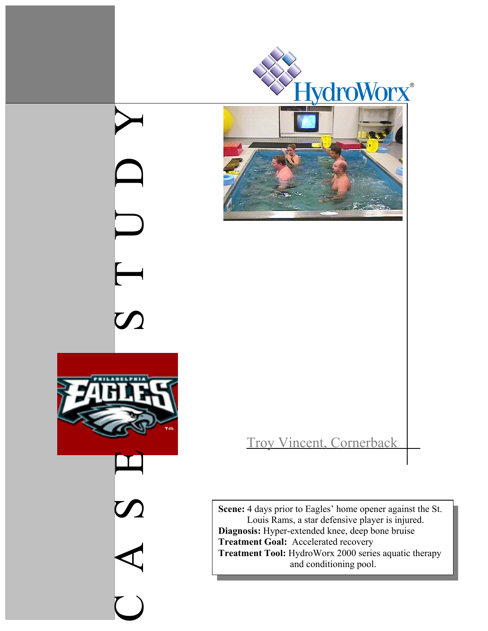

CASE SS TUDY

 $\overline{\phantom{0}}$ 

**Scene:** 4 days prior to Eagles' home opener against the St. Louis Rams, a star defensive player is injured. **Diagnosis:** Hyper-extended knee, deep bone bruise **Treatment Goal:** Accelerated recovery **Treatment Tool:** HydroWorx 2000 series aquatic therapy and conditioning pool.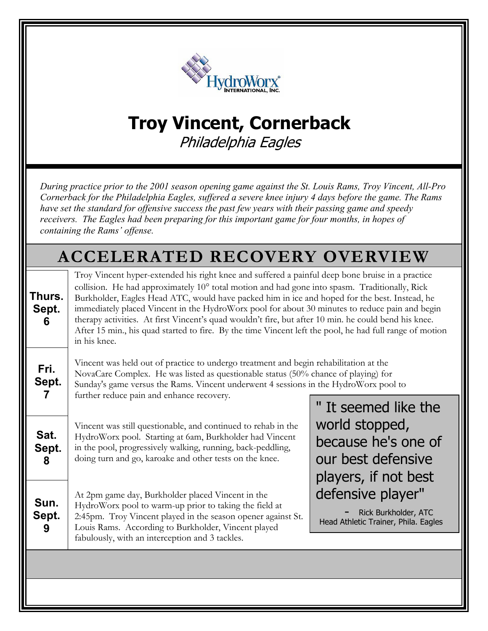

## **Troy Vincent, Cornerback**

Philadelphia Eagles

 *During practice prior to the 2001 season opening game against the St. Louis Rams, Troy Vincent, All-Pro Cornerback for the Philadelphia Eagles, suffered a severe knee injury 4 days before the game. The Rams have set the standard for offensive success the past few years with their passing game and speedy receivers. The Eagles had been preparing for this important game for four months, in hopes of containing the Rams' offense.* 

## **Thurs. Sept. 6 ACCELERATED RECOVERY OVERVIEW** Troy Vincent hyper-extended his right knee and suffered a painful deep bone bruise in a practice collision. He had approximately 10° total motion and had gone into spasm. Traditionally, Rick Burkholder, Eagles Head ATC, would have packed him in ice and hoped for the best. Instead, he immediately placed Vincent in the HydroWorx pool for about 30 minutes to reduce pain and begin therapy activities. At first Vincent's quad wouldn't fire, but after 10 min. he could bend his knee. After 15 min., his quad started to fire. By the time Vincent left the pool, he had full range of motion in his knee.

**Fri. Sept. 7**  Vincent was held out of practice to undergo treatment and begin rehabilitation at the NovaCare Complex. He was listed as questionable status (50% chance of playing) for Sunday's game versus the Rams. Vincent underwent 4 sessions in the HydroWorx pool to further reduce pain and enhance recovery.

**Sat. Sept.**  Vincent was still questionable, and continued to rehab in the HydroWorx pool. Starting at 6am, Burkholder had Vincent in the pool, progressively walking, running, back-peddling, doing turn and go, karoake and other tests on the knee.

**Sun. Sept. 9**  At 2pm game day, Burkholder placed Vincent in the HydroWorx pool to warm-up prior to taking the field at 2:45pm. Troy Vincent played in the season opener against St. Louis Rams. According to Burkholder, Vincent played fabulously, with an interception and 3 tackles.

**8** 

" It seemed like the world stopped, because he's one of our best defensive players, if not best defensive player"

- Rick Burkholder, ATC Head Athletic Trainer, Phila. Eagles